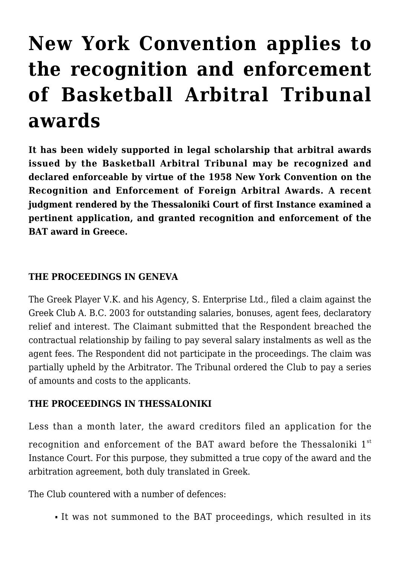# **[New York Convention applies to](https://conflictoflaws.net/2020/new-york-convention-applies-to-the-recognition-and-enforcement-of-basketball-arbitral-tribunal-awards/) [the recognition and enforcement](https://conflictoflaws.net/2020/new-york-convention-applies-to-the-recognition-and-enforcement-of-basketball-arbitral-tribunal-awards/) [of Basketball Arbitral Tribunal](https://conflictoflaws.net/2020/new-york-convention-applies-to-the-recognition-and-enforcement-of-basketball-arbitral-tribunal-awards/) [awards](https://conflictoflaws.net/2020/new-york-convention-applies-to-the-recognition-and-enforcement-of-basketball-arbitral-tribunal-awards/)**

**It has been widely supported in legal scholarship that arbitral awards issued by the Basketball Arbitral Tribunal may be recognized and declared enforceable by virtue of the 1958 New York Convention on the Recognition and Enforcement of Foreign Arbitral Awards. A recent judgment rendered by the Thessaloniki Court of first Instance examined a pertinent application, and granted recognition and enforcement of the BAT award in Greece.**

# **THE PROCEEDINGS IN GENEVA**

The Greek Player V.K. and his Agency, S. Enterprise Ltd., filed a claim against the Greek Club A. B.C. 2003 for outstanding salaries, bonuses, agent fees, declaratory relief and interest. The Claimant submitted that the Respondent breached the contractual relationship by failing to pay several salary instalments as well as the agent fees. The Respondent did not participate in the proceedings. The claim was partially upheld by the Arbitrator. The Tribunal ordered the Club to pay a series of amounts and costs to the applicants.

### **THE PROCEEDINGS IN THESSALONIKI**

Less than a month later, the award creditors filed an application for the recognition and enforcement of the BAT award before the Thessaloniki 1<sup>st</sup> Instance Court. For this purpose, they submitted a true copy of the award and the arbitration agreement, both duly translated in Greek.

The Club countered with a number of defences:

It was not summoned to the BAT proceedings, which resulted in its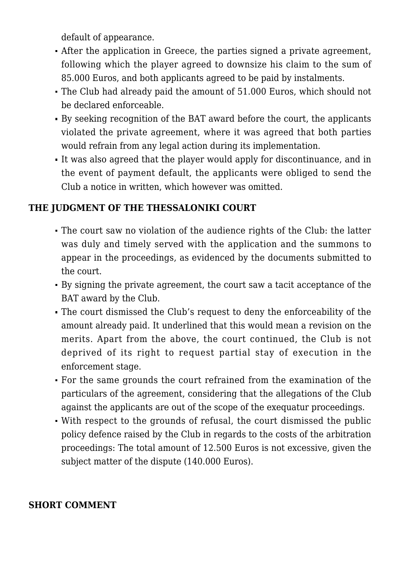default of appearance.

- After the application in Greece, the parties signed a private agreement, following which the player agreed to downsize his claim to the sum of 85.000 Euros, and both applicants agreed to be paid by instalments.
- The Club had already paid the amount of 51.000 Euros, which should not be declared enforceable.
- By seeking recognition of the BAT award before the court, the applicants violated the private agreement, where it was agreed that both parties would refrain from any legal action during its implementation.
- It was also agreed that the player would apply for discontinuance, and in the event of payment default, the applicants were obliged to send the Club a notice in written, which however was omitted.

# **THE JUDGMENT OF THE THESSALONIKI COURT**

- The court saw no violation of the audience rights of the Club: the latter was duly and timely served with the application and the summons to appear in the proceedings, as evidenced by the documents submitted to the court.
- By signing the private agreement, the court saw a tacit acceptance of the BAT award by the Club.
- The court dismissed the Club's request to deny the enforceability of the amount already paid. It underlined that this would mean a revision on the merits. Apart from the above, the court continued, the Club is not deprived of its right to request partial stay of execution in the enforcement stage.
- For the same grounds the court refrained from the examination of the particulars of the agreement, considering that the allegations of the Club against the applicants are out of the scope of the exequatur proceedings.
- With respect to the grounds of refusal, the court dismissed the public policy defence raised by the Club in regards to the costs of the arbitration proceedings: The total amount of 12.500 Euros is not excessive, given the subject matter of the dispute (140.000 Euros).

### **SHORT COMMENT**